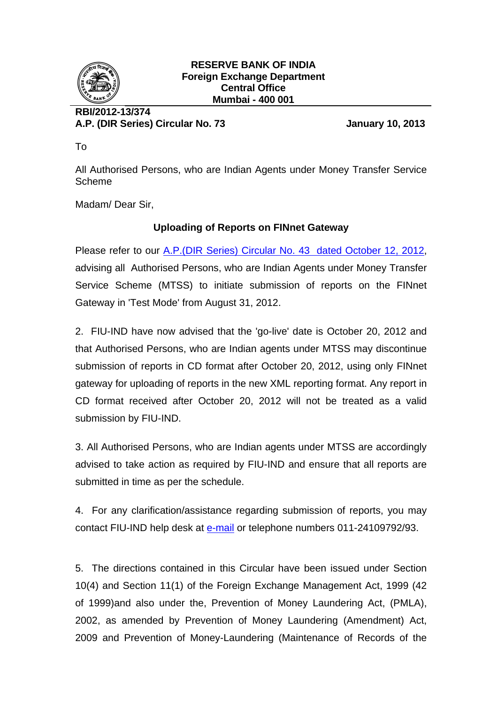

## **RESERVE BANK OF INDIA Foreign Exchange Department Central Office Mumbai - 400 001**

## **RBI/2012-13/374 A.P. (DIR Series) Circular No. 73 January 10, 2013**

To

All Authorised Persons, who are Indian Agents under Money Transfer Service Scheme

Madam/ Dear Sir,

## **Uploading of Reports on FINnet Gateway**

Please refer to our A.P. (DIR Series) Circular No. 43 dated October 12, 2012, advising all Authorised Persons, who are Indian Agents under Money Transfer Service Scheme (MTSS) to initiate submission of reports on the FINnet Gateway in 'Test Mode' from August 31, 2012.

2. FIU-IND have now advised that the 'go-live' date is October 20, 2012 and that Authorised Persons, who are Indian agents under MTSS may discontinue submission of reports in CD format after October 20, 2012, using only FINnet gateway for uploading of reports in the new XML reporting format. Any report in CD format received after October 20, 2012 will not be treated as a valid submission by FIU-IND.

3. All Authorised Persons, who are Indian agents under MTSS are accordingly advised to take action as required by FIU-IND and ensure that all reports are submitted in time as per the schedule.

4. For any clarification/assistance regarding submission of reports, you may contact FIU-IND help desk at [e-mail](mailto:helpdesk@fiuindia.gov.in) or telephone numbers 011-24109792/93.

5. The directions contained in this Circular have been issued under Section 10(4) and Section 11(1) of the Foreign Exchange Management Act, 1999 (42 of 1999)and also under the, Prevention of Money Laundering Act, (PMLA), 2002, as amended by Prevention of Money Laundering (Amendment) Act, 2009 and Prevention of Money-Laundering (Maintenance of Records of the